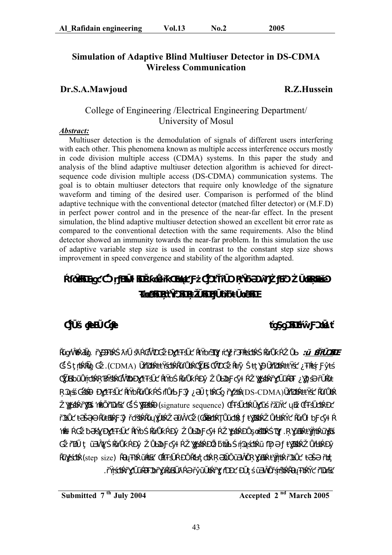# **Simulation of Adaptive Blind Multiuser Detector in DS-CDMA Wireless Communication**

# **Dr.S.A.Mawjoud R.Z.Hussein**

# College of Engineering /Electrical Engineering Department/ University of Mosul

#### *Abstract:*

 Multiuser detection is the demodulation of signals of different users interfering with each other. This phenomena known as multiple access interference occurs mostly in code division multiple access (CDMA) systems. In this paper the study and analysis of the blind adaptive multiuser detection algorithm is achieved for directsequence code division multiple access (DS-CDMA) communication systems. The goal is to obtain multiuser detectors that require only knowledge of the signature waveform and timing of the desired user. Comparison is performed of the blind adaptive technique with the conventional detector (matched filter detector) or (M.F.D) in perfect power control and in the presence of the near-far effect. In the present simulation, the blind adaptive multiuser detection showed an excellent bit error rate as compared to the conventional detection with the same requirements. Also the blind detector showed an immunity towards the near-far problem. In this simulation the use of adaptive variable step size is used in contrast to the constant step size shows improvement in speed convergence and stability of the algorithm adapted.



 $\mathbf{G} = \mathbf{G} \mathbf{G} \mathbf{G} \mathbf{G} \mathbf{G} \mathbf{G} \mathbf{G} \mathbf{G} \mathbf{G} \mathbf{G} \mathbf{G} \mathbf{G} \mathbf{G} \mathbf{G} \mathbf{G} \mathbf{G} \mathbf{G} \mathbf{G} \mathbf{G} \mathbf{G} \mathbf{G} \mathbf{G} \mathbf{G} \mathbf{G} \mathbf{G} \mathbf{G} \mathbf{G} \mathbf{G} \mathbf{G} \mathbf{G} \mathbf{G} \mathbf{G} \mathbf{G} \mathbf{G} \mathbf{G} \mathbf{$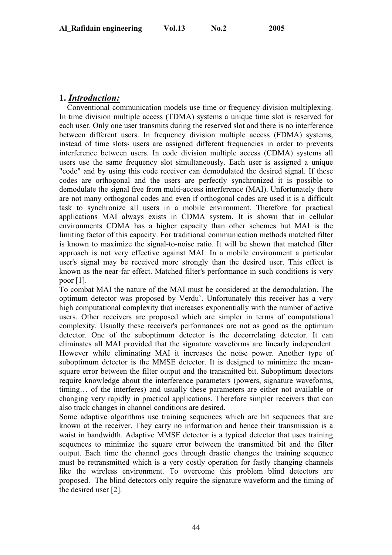# **1.** *Introduction:*

 Conventional communication models use time or frequency division multiplexing. In time division multiple access (TDMA) systems a unique time slot is reserved for each user. Only one user transmits during the reserved slot and there is no interference between different users. In frequency division multiple access (FDMA) systems, instead of time slots users are assigned different frequencies in order to prevents interference between users. In code division multiple access (CDMA) systems all users use the same frequency slot simultaneously. Each user is assigned a unique "code" and by using this code receiver can demodulated the desired signal. If these codes are orthogonal and the users are perfectly synchronized it is possible to demodulate the signal free from multi-access interference (MAI). Unfortunately there are not many orthogonal codes and even if orthogonal codes are used it is a difficult task to synchronize all users in a mobile environment. Therefore for practical applications MAI always exists in CDMA system. It is shown that in cellular environments CDMA has a higher capacity than other schemes but MAI is the limiting factor of this capacity. For traditional communication methods matched filter is known to maximize the signal-to-noise ratio. It will be shown that matched filter approach is not very effective against MAI. In a mobile environment a particular user's signal may be received more strongly than the desired user. This effect is known as the near-far effect. Matched filter's performance in such conditions is very poor [1].

To combat MAI the nature of the MAI must be considered at the demodulation. The optimum detector was proposed by Verdu`. Unfortunately this receiver has a very high computational complexity that increases exponentially with the number of active users. Other receivers are proposed which are simpler in terms of computational complexity. Usually these receiver's performances are not as good as the optimum detector. One of the suboptimum detector is the decorrelating detector. It can eliminates all MAI provided that the signature waveforms are linearly independent. However while eliminating MAI it increases the noise power. Another type of suboptimum detector is the MMSE detector. It is designed to minimize the meansquare error between the filter output and the transmitted bit. Suboptimum detectors require knowledge about the interference parameters (powers, signature waveforms, timing… of the interferes) and usually these parameters are either not available or changing very rapidly in practical applications. Therefore simpler receivers that can also track changes in channel conditions are desired.

Some adaptive algorithms use training sequences which are bit sequences that are known at the receiver. They carry no information and hence their transmission is a waist in bandwidth. Adaptive MMSE detector is a typical detector that uses training sequences to minimize the square error between the transmitted bit and the filter output. Each time the channel goes through drastic changes the training sequence must be retransmitted which is a very costly operation for fastly changing channels like the wireless environment. To overcome this problem blind detectors are proposed. The blind detectors only require the signature waveform and the timing of the desired user [2].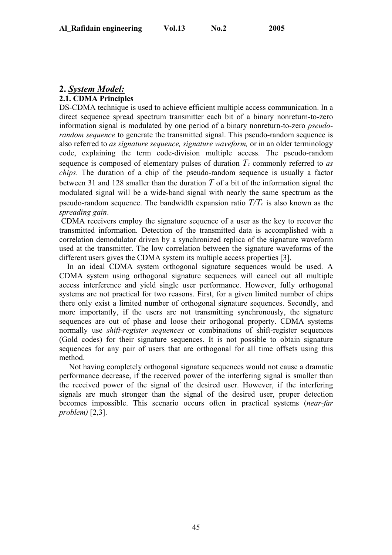# **2.** *System Model:*

#### **2.1. CDMA Principles**

DS-CDMA technique is used to achieve efficient multiple access communication. In a direct sequence spread spectrum transmitter each bit of a binary nonreturn-to-zero information signal is modulated by one period of a binary nonreturn-to-zero *pseudorandom sequence* to generate the transmitted signal. This pseudo-random sequence is also referred to *as signature sequence, signature waveform,* or in an older terminology code, explaining the term code-division multiple access. The pseudo-random sequence is composed of elementary pulses of duration  $T_c$  commonly referred to  $as$ *chips*. The duration of a chip of the pseudo-random sequence is usually a factor between 31 and 128 smaller than the duration *T* of a bit of the information signal the modulated signal will be a wide-band signal with nearly the same spectrum as the pseudo-random sequence. The bandwidth expansion ratio  $T/T_c$  is also known as the *spreading gain*.

 CDMA receivers employ the signature sequence of a user as the key to recover the transmitted information. Detection of the transmitted data is accomplished with a correlation demodulator driven by a synchronized replica of the signature waveform used at the transmitter. The low correlation between the signature waveforms of the different users gives the CDMA system its multiple access properties [3].

 In an ideal CDMA system orthogonal signature sequences would be used. A CDMA system using orthogonal signature sequences will cancel out all multiple access interference and yield single user performance. However, fully orthogonal systems are not practical for two reasons. First, for a given limited number of chips there only exist a limited number of orthogonal signature sequences. Secondly, and more importantly, if the users are not transmitting synchronously, the signature sequences are out of phase and loose their orthogonal property. CDMA systems normally use *shift-register sequences* or combinations of shift-register sequences (Gold codes) for their signature sequences. It is not possible to obtain signature sequences for any pair of users that are orthogonal for all time offsets using this method.

 Not having completely orthogonal signature sequences would not cause a dramatic performance decrease, if the received power of the interfering signal is smaller than the received power of the signal of the desired user. However, if the interfering signals are much stronger than the signal of the desired user, proper detection becomes impossible. This scenario occurs often in practical systems (*near-far problem)* [2,3].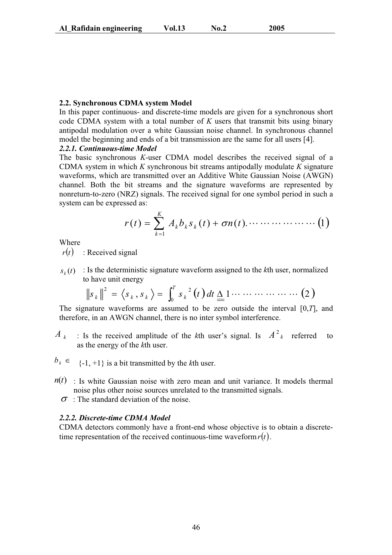#### **2.2. Synchronous CDMA system Model**

In this paper continuous- and discrete-time models are given for a synchronous short code CDMA system with a total number of *K* users that transmit bits using binary antipodal modulation over a white Gaussian noise channel. In synchronous channel model the beginning and ends of a bit transmission are the same for all users [4].

## *2.2.1. Continuous-time Model*

The basic synchronous *K*-user CDMA model describes the received signal of a CDMA system in which *K* synchronous bit streams antipodally modulate *K* signature waveforms, which are transmitted over an Additive White Gaussian Noise (AWGN) channel. Both the bit streams and the signature waveforms are represented by nonreturn-to-zero (NRZ) signals. The received signal for one symbol period in such a system can be expressed as:

( ) ( ) ( ).  1 1 *r t A bk s <sup>k</sup> t n t K k* ¦ *<sup>k</sup>* <sup>V</sup>

Where

 $r(t)$  : Received signal

 $s_k(t)$ : Is the deterministic signature waveform assigned to the *k*th user, normalized to have unit energy

$$
\|s_k\|^2 = \langle s_k, s_k \rangle = \int_0^T s_k^2(t) dt \underline{\Delta} 1 \cdots \cdots \cdots \cdots (2)
$$

The signature waveforms are assumed to be zero outside the interval [0,*T*], and therefore, in an AWGN channel, there is no inter symbol interference.

- $A_k$  : Is the received amplitude of the kth user's signal. Is  $A^2_k$  referred to as the energy of the *k*th user.
- $b_k \in \{ -1, +1 \}$  is a bit transmitted by the *k*th user.
- $n(t)$ : Is white Gaussian noise with zero mean and unit variance. It models thermal noise plus other noise sources unrelated to the transmitted signals.
	- $\sigma$ : The standard deviation of the noise.

#### *2.2.2. Discrete-time CDMA Model*

CDMA detectors commonly have a front-end whose objective is to obtain a discretetime representation of the received continuous-time waveform  $r(t)$ .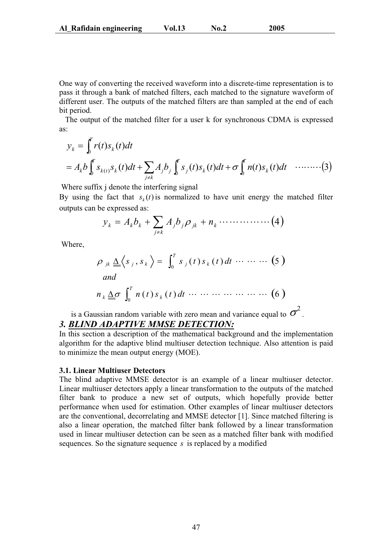One way of converting the received waveform into a discrete-time representation is to pass it through a bank of matched filters, each matched to the signature waveform of different user. The outputs of the matched filters are than sampled at the end of each bit period.

 The output of the matched filter for a user k for synchronous CDMA is expressed as:

$$
y_k = \int_0^r r(t)s_k(t)dt
$$
  
=  $A_kb \int_0^r s_{k(t)}s_k(t)dt + \sum_{j \neq k} A_jb_j \int_0^r s_j(t)s_k(t)dt + \sigma \int_0^r n(t)s_k(t)dt \quad \cdots \cdots \cdots (3)$ 

Where suffix *j* denote the interfering signal

By using the fact that  $s_k(t)$  is normalized to have unit energy the matched filter outputs can be expressed as:

$$
y_k = A_k b_k + \sum_{j \neq k} A_j b_j \rho_{jk} + n_k \cdots \cdots \cdots \cdots (4)
$$

Where,

$$
\rho_{jk} \underline{\Delta} \langle s_j, s_k \rangle = \int_0^T s_j(t) s_k(t) dt \cdots \cdots \cdots (5)
$$
  
and  

$$
n_k \underline{\Delta} \sigma \int_0^T n(t) s_k(t) dt \cdots \cdots \cdots \cdots \cdots (6)
$$

is a Gaussian random variable with zero mean and variance equal to  $\sigma^2$ . *3. BLIND ADAPTIVE MMSE DETECTION:*

In this section a description of the mathematical background and the implementation algorithm for the adaptive blind multiuser detection technique. Also attention is paid to minimize the mean output energy (MOE).

#### **3.1. Linear Multiuser Detectors**

The blind adaptive MMSE detector is an example of a linear multiuser detector. Linear multiuser detectors apply a linear transformation to the outputs of the matched filter bank to produce a new set of outputs, which hopefully provide better performance when used for estimation. Other examples of linear multiuser detectors are the conventional, decorrelating and MMSE detector [1]. Since matched filtering is also a linear operation, the matched filter bank followed by a linear transformation used in linear multiuser detection can be seen as a matched filter bank with modified sequences. So the signature sequence *s* is replaced by a modified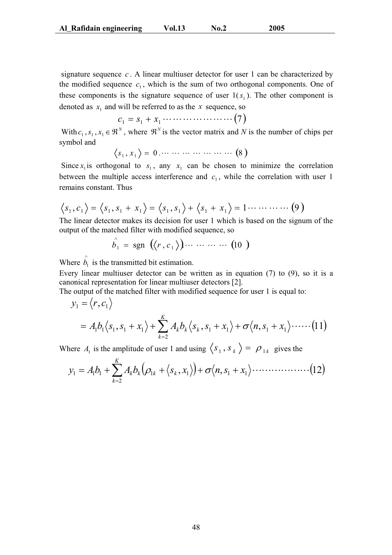signature sequence *c* . A linear multiuser detector for user 1 can be characterized by the modified sequence  $c_1$ , which is the sum of two orthogonal components. One of these components is the signature sequence of user  $1(s<sub>1</sub>)$ . The other component is denoted as  $x_1$  and will be referred to as the  $x$  sequence, so

$$
c_1 = s_1 + x_1 \cdots \cdots \cdots \cdots \cdots \cdots (7)
$$

With  $c_1, s_1, x_1 \in \mathbb{R}^N$ , where  $\mathbb{R}^N$  is the vector matrix and *N* is the number of chips per symbol and

$$
\langle s_1, x_1 \rangle = 0 \cdots \cdots \cdots \cdots \cdots \cdots (8)
$$

Since  $x_1$  is orthogonal to  $s_1$ , any  $x_1$  can be chosen to minimize the correlation between the multiple access interference and  $c<sub>1</sub>$ , while the correlation with user 1 remains constant. Thus

$$
\langle s_1, c_1 \rangle = \langle s_1, s_1 + x_1 \rangle = \langle s_1, s_1 \rangle + \langle s_1 + x_1 \rangle = 1 \cdots \cdots \cdots (9)
$$

The linear detector makes its decision for user 1 which is based on the signum of the output of the matched filter with modified sequence, so

$$
\hat{b}_1 = \text{sgn} \ (\langle r, c_1 \rangle) \cdots \cdots \cdots \quad (10)
$$

Where  $\hat{b}_1$  is the transmitted bit estimation.

Every linear multiuser detector can be written as in equation (7) to (9), so it is a canonical representation for linear multiuser detectors [2].

The output of the matched filter with modified sequence for user 1 is equal to:

$$
y_1 = \langle r, c_1 \rangle
$$
  
=  $A_1 b_1 \langle s_1, s_1 + x_1 \rangle + \sum_{k=2}^K A_k b_k \langle s_k, s_1 + x_1 \rangle + \sigma \langle n, s_1 + x_1 \rangle \cdots \cdots (11)$ 

Where  $A_1$  is the amplitude of user 1 and using  $\langle s_1, s_k \rangle = \rho_{1k}$  gives the

$$
y_1 = A_1b_1 + \sum_{k=2}^K A_k b_k (\rho_{1k} + \langle s_k, x_1 \rangle) + \sigma \langle n, s_1 + x_1 \rangle \cdots \cdots \cdots \cdots \cdots (12)
$$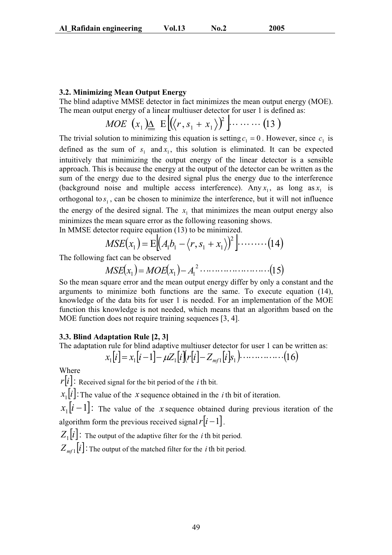#### **3.2. Minimizing Mean Output Energy**

The blind adaptive MMSE detector in fact minimizes the mean output energy (MOE). The mean output energy of a linear multiuser detector for user 1 is defined as:

$$
MOE\left(x_1\right)\underline{\Delta}\ \mathbf{E}\left[\left\langle\left\langle r,s_1+x_1\right\rangle\right\rangle^2\right]\cdots\cdots\cdots\left(13\right)
$$

The trivial solution to minimizing this equation is setting  $c_1 = 0$ . However, since  $c_1$  is defined as the sum of  $s_1$  and  $x_1$ , this solution is eliminated. It can be expected intuitively that minimizing the output energy of the linear detector is a sensible approach. This is because the energy at the output of the detector can be written as the sum of the energy due to the desired signal plus the energy due to the interference (background noise and multiple access interference). Any  $x_1$ , as long as  $x_1$  is orthogonal to  $s_1$ , can be chosen to minimize the interference, but it will not influence the energy of the desired signal. The  $x_1$  that minimizes the mean output energy also minimizes the mean square error as the following reasoning shows. In MMSE detector require equation (13) to be minimized.

$$
MSE(x_1) = E[(A_1b_1 - \langle r, s_1 + x_1 \rangle)^2] \cdot \dots \dots \cdot (14)
$$

The following fact can be observed

$$
MSE(x_1) = MOE(x_1) - A_1^2 \dots \dots \dots \dots \dots \dots \dots \dots (15)
$$

So the mean square error and the mean output energy differ by only a constant and the arguments to minimize both functions are the same. To execute equation (14), knowledge of the data bits for user 1 is needed. For an implementation of the MOE function this knowledge is not needed, which means that an algorithm based on the MOE function does not require training sequences [3, 4].

#### **3.3. Blind Adaptation Rule [2, 3]**

The adaptation rule for blind adaptive multiuser detector for user 1 can be written as:  $x_1[i] = x_1[i-1] - \mu Z_1[i][r[i] - Z_{m1}[i]s_1] \cdots$  (16)

Where

 $r[i]$ : Received signal for the bit period of the *i* th bit.

 $x_1[i]$ : The value of the *x* sequence obtained in the *i* th bit of iteration.

 $x_1[i-1]$ : The value of the *x* sequence obtained during previous iteration of the algorithm form the previous received signal  $r[i-1]$ .

 $Z_1[i]$ : The output of the adaptive filter for the *i* th bit period.  $Z_{m}$ <sup>[i]</sup>: The output of the matched filter for the *i* th bit period.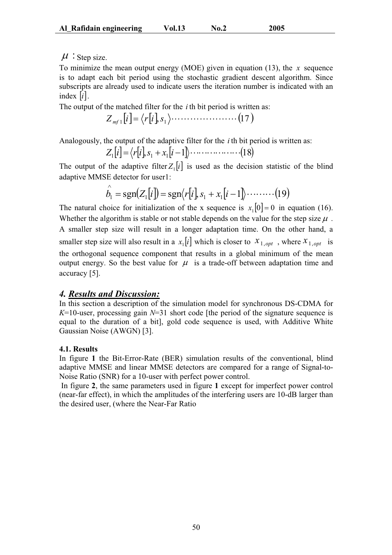## $\mu$ : Step size.

To minimize the mean output energy (MOE) given in equation (13), the *x* sequence is to adapt each bit period using the stochastic gradient descent algorithm. Since subscripts are already used to indicate users the iteration number is indicated with an index  $|i|$ .

The output of the matched filter for the *i* th bit period is written as:

$$
Z_{m+1}[i] = \langle r[i], s_1 \rangle \cdots \cdots \cdots \cdots \cdots \cdots (17)
$$

Analogously, the output of the adaptive filter for the *i* th bit period is written as:

$$
Z_1[i] = \langle r[i], s_1 + x_1[i-1], \dots, \dots, \dots, (18)
$$

The output of the adaptive filter  $Z_1[i]$  is used as the decision statistic of the blind adaptive MMSE detector for user1:

$$
\hat{b}_1 = \operatorname{sgn}(Z_1[i]) = \operatorname{sgn}(r[i], s_1 + x_1[i-1]) \cdot \dots \cdot (19)
$$

The natural choice for initialization of the x sequence is  $x_1[0] = 0$  in equation (16). Whether the algorithm is stable or not stable depends on the value for the step size  $\mu$ . A smaller step size will result in a longer adaptation time. On the other hand, a smaller step size will also result in a  $x_i[i]$  which is closer to  $x_{1,opt}$ , where  $x_{1,opt}$  is the orthogonal sequence component that results in a global minimum of the mean output energy. So the best value for  $\mu$  is a trade-off between adaptation time and accuracy [5].

### *4. Results and Discussion:*

In this section a description of the simulation model for synchronous DS-CDMA for *K*=10-user, processing gain *N*=31 short code [the period of the signature sequence is equal to the duration of a bit], gold code sequence is used, with Additive White Gaussian Noise (AWGN) [3].

### **4.1. Results**

In figure **1** the Bit-Error-Rate (BER) simulation results of the conventional, blind adaptive MMSE and linear MMSE detectors are compared for a range of Signal-to-Noise Ratio (SNR) for a 10-user with perfect power control.

 In figure **2**, the same parameters used in figure **1** except for imperfect power control (near-far effect), in which the amplitudes of the interfering users are 10-dB larger than the desired user, (where the Near-Far Ratio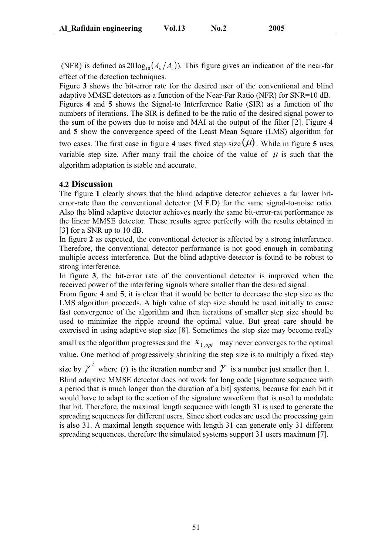(NFR) is defined as  $20 \log_{10}(A_k/A_i)$ ). This figure gives an indication of the near-far effect of the detection techniques.

Figure **3** shows the bit-error rate for the desired user of the conventional and blind adaptive MMSE detectors as a function of the Near-Far Ratio (NFR) for SNR=10 dB. Figures **4** and **5** shows the Signal-to Interference Ratio (SIR) as a function of the numbers of iterations. The SIR is defined to be the ratio of the desired signal power to the sum of the powers due to noise and MAI at the output of the filter [2]. Figure **4** and **5** show the convergence speed of the Least Mean Square (LMS) algorithm for

two cases. The first case in figure 4 uses fixed step size  $(\mu)$ . While in figure 5 uses variable step size. After many trail the choice of the value of  $\mu$  is such that the algorithm adaptation is stable and accurate.

### **4.2 Discussion**

The figure **1** clearly shows that the blind adaptive detector achieves a far lower biterror-rate than the conventional detector (M.F.D) for the same signal-to-noise ratio. Also the blind adaptive detector achieves nearly the same bit-error-rat performance as the linear MMSE detector. These results agree perfectly with the results obtained in [3] for a SNR up to 10 dB.

In figure **2** as expected, the conventional detector is affected by a strong interference. Therefore, the conventional detector performance is not good enough in combating multiple access interference. But the blind adaptive detector is found to be robust to strong interference.

In figure **3**, the bit-error rate of the conventional detector is improved when the received power of the interfering signals where smaller than the desired signal.

From figure **4** and **5**, it is clear that it would be better to decrease the step size as the LMS algorithm proceeds. A high value of step size should be used initially to cause fast convergence of the algorithm and then iterations of smaller step size should be used to minimize the ripple around the optimal value. But great care should be exercised in using adaptive step size [8]. Sometimes the step size may become really small as the algorithm progresses and the  $x_{1, opt}$  may never converges to the optimal

value. One method of progressively shrinking the step size is to multiply a fixed step

size by  $\gamma^{i}$  where *(i)* is the iteration number and  $\gamma$  is a number just smaller than 1.

Blind adaptive MMSE detector does not work for long code [signature sequence with a period that is much longer than the duration of a bit] systems, because for each bit it would have to adapt to the section of the signature waveform that is used to modulate that bit. Therefore, the maximal length sequence with length 31 is used to generate the spreading sequences for different users. Since short codes are used the processing gain is also 31. A maximal length sequence with length 31 can generate only 31 different spreading sequences, therefore the simulated systems support 31 users maximum [7].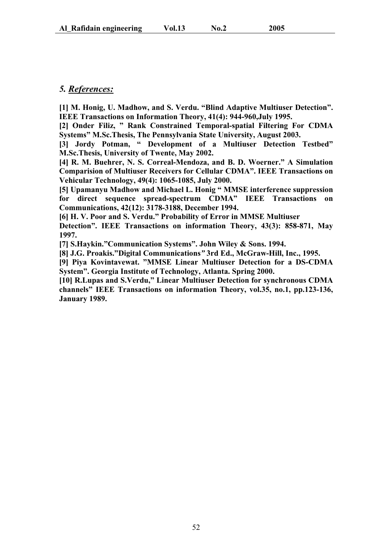# *5. References:*

**[1] M. Honig, U. Madhow, and S. Verdu. "Blind Adaptive Multiuser Detection". IEEE Transactions on Information Theory, 41(4): 944-960,July 1995.** 

**[2] Onder Filiz, " Rank Constrained Temporal-spatial Filtering For CDMA Systems" M.Sc.Thesis, The Pennsylvania State University, August 2003.** 

**[3] Jordy Potman, " Development of a Multiuser Detection Testbed" M.Sc.Thesis, University of Twente, May 2002.** 

**[4] R. M. Buehrer, N. S. Correal-Mendoza, and B. D. Woerner." A Simulation Comparision of Multiuser Receivers for Cellular CDMA". IEEE Transactions on Vehicular Technology, 49(4): 1065-1085, July 2000.** 

**[5] Upamanyu Madhow and Michael L. Honig " MMSE interference suppression for direct sequence spread-spectrum CDMA" IEEE Transactions on Communications, 42(12): 3178-3188, December 1994.** 

**[6] H. V. Poor and S. Verdu." Probability of Error in MMSE Multiuser** 

**Detection". IEEE Transactions on information Theory, 43(3): 858-871, May 1997.**

**[7] S.Haykin."Communication Systems". John Wiley & Sons. 1994.** 

**[8] J.G. Proakis."Digital Communications***"* **3rd Ed., McGraw-Hill, Inc., 1995.** 

**[9] Piya Kovintavewat. "MMSE Linear Multiuser Detection for a DS-CDMA System". Georgia Institute of Technology, Atlanta. Spring 2000.** 

**[10] R.Lupas and S.Verdu," Linear Multiuser Detection for synchronous CDMA channels" IEEE Transactions on information Theory, vol.35, no.1, pp.123-136, January 1989.**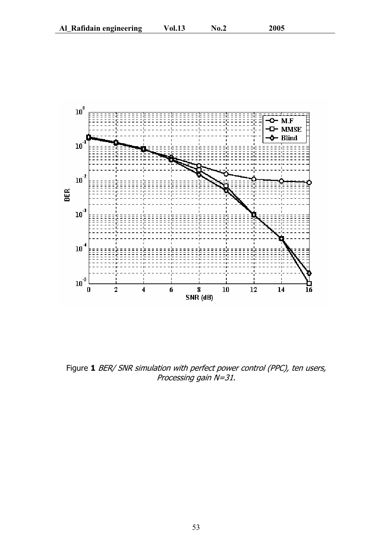

Figure 1 BER/ SNR simulation with perfect power control (PPC), ten users, Processing gain N=31.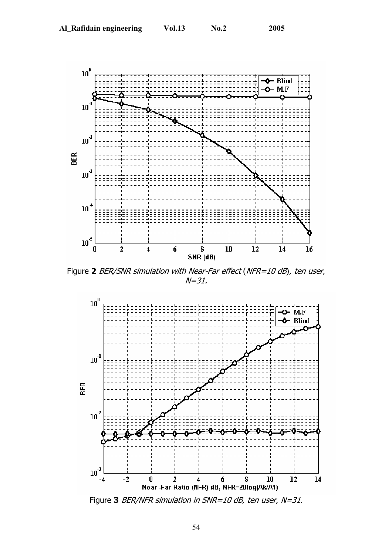

Figure **2** BER/SNR simulation with Near-Far effect (NFR=10 dB), ten user,  $N = 31.$ 



Figure **3** BER/NFR simulation in SNR=10 dB, ten user, N=31.